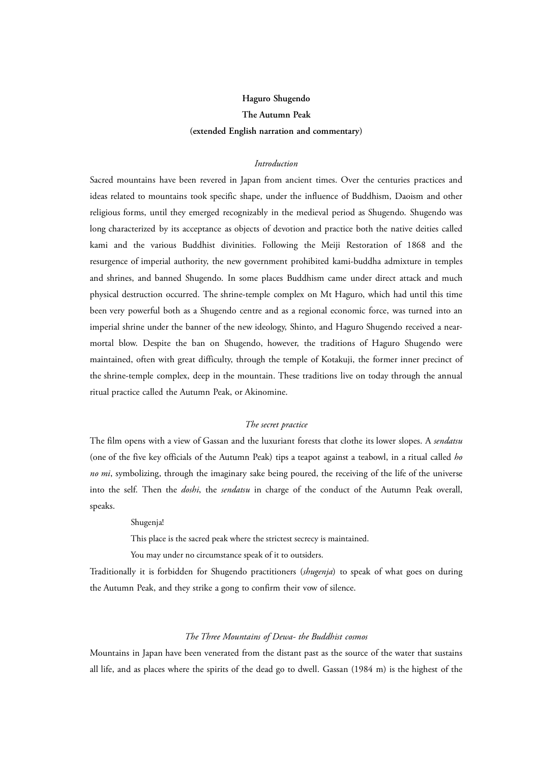# **Haguro Shugendo The Autumn Peak (extended English narration and commentary)**

# *Introduction*

Sacred mountains have been revered in Japan from ancient times. Over the centuries practices and ideas related to mountains took specific shape, under the influence of Buddhism, Daoism and other religious forms, until they emerged recognizably in the medieval period as Shugendo. Shugendo was long characterized by its acceptance as objects of devotion and practice both the native deities called kami and the various Buddhist divinities. Following the Meiji Restoration of 1868 and the resurgence of imperial authority, the new government prohibited kami-buddha admixture in temples and shrines, and banned Shugendo. In some places Buddhism came under direct attack and much physical destruction occurred. The shrine-temple complex on Mt Haguro, which had until this time been very powerful both as a Shugendo centre and as a regional economic force, was turned into an imperial shrine under the banner of the new ideology, Shinto, and Haguro Shugendo received a nearmortal blow. Despite the ban on Shugendo, however, the traditions of Haguro Shugendo were maintained, often with great difficulty, through the temple of Kotakuji, the former inner precinct of the shrine-temple complex, deep in the mountain. These traditions live on today through the annual ritual practice called the Autumn Peak, or Akinomine.

## *The secret practice*

The film opens with a view of Gassan and the luxuriant forests that clothe its lower slopes. A *sendatsu* (one of the five key officials of the Autumn Peak) tips a teapot against a teabowl, in a ritual called *ho no mi*, symbolizing, through the imaginary sake being poured, the receiving of the life of the universe into the self. Then the *doshi*, the *sendatsu* in charge of the conduct of the Autumn Peak overall, speaks.

# Shugenja!

This place is the sacred peak where the strictest secrecy is maintained.

You may under no circumstance speak of it to outsiders.

Traditionally it is forbidden for Shugendo practitioners (*shugenja*) to speak of what goes on during the Autumn Peak, and they strike a gong to confirm their vow of silence.

# *The Three Mountains of Dewa- the Buddhist cosmos*

Mountains in Japan have been venerated from the distant past as the source of the water that sustains all life, and as places where the spirits of the dead go to dwell. Gassan (1984 m) is the highest of the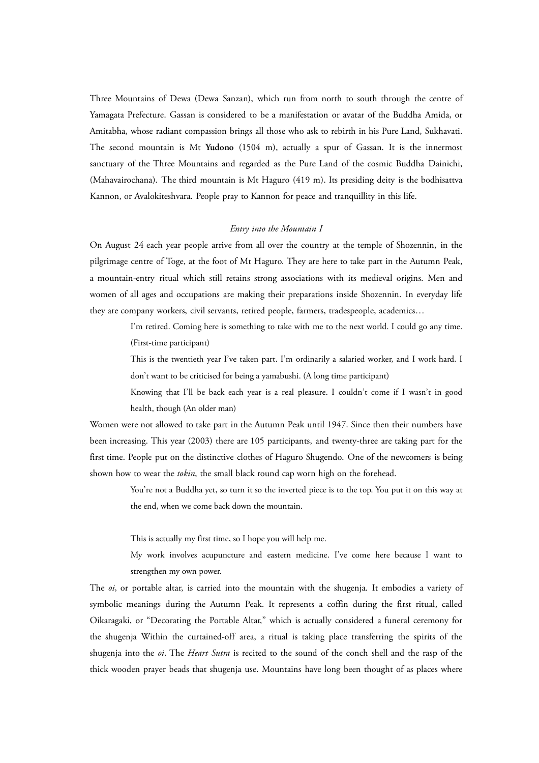Three Mountains of Dewa (Dewa Sanzan), which run from north to south through the centre of Yamagata Prefecture. Gassan is considered to be a manifestation or avatar of the Buddha Amida, or Amitabha, whose radiant compassion brings all those who ask to rebirth in his Pure Land, Sukhavati. The second mountain is Mt **Yudono** (1504 m), actually a spur of Gassan. It is the innermost sanctuary of the Three Mountains and regarded as the Pure Land of the cosmic Buddha Dainichi, (Mahavairochana). The third mountain is Mt Haguro (419 m). Its presiding deity is the bodhisattva Kannon, or Avalokiteshvara. People pray to Kannon for peace and tranquillity in this life.

# *Entry into the Mountain I*

On August 24 each year people arrive from all over the country at the temple of Shozennin, in the pilgrimage centre of Toge, at the foot of Mt Haguro. They are here to take part in the Autumn Peak, a mountain-entry ritual which still retains strong associations with its medieval origins. Men and women of all ages and occupations are making their preparations inside Shozennin. In everyday life they are company workers, civil servants, retired people, farmers, tradespeople, academics…

> I'm retired. Coming here is something to take with me to the next world. I could go any time. (First-time participant)

> This is the twentieth year I've taken part. I'm ordinarily a salaried worker, and I work hard. I don't want to be criticised for being a yamabushi. (A long time participant)

> Knowing that I'll be back each year is a real pleasure. I couldn't come if I wasn't in good health, though (An older man)

Women were not allowed to take part in the Autumn Peak until 1947. Since then their numbers have been increasing. This year (2003) there are 105 participants, and twenty-three are taking part for the first time. People put on the distinctive clothes of Haguro Shugendo. One of the newcomers is being shown how to wear the *tokin*, the small black round cap worn high on the forehead.

> You're not a Buddha yet, so turn it so the inverted piece is to the top. You put it on this way at the end, when we come back down the mountain.

This is actually my first time, so I hope you will help me.

My work involves acupuncture and eastern medicine. I've come here because I want to strengthen my own power.

The *oi*, or portable altar, is carried into the mountain with the shugenja. It embodies a variety of symbolic meanings during the Autumn Peak. It represents a coffin during the first ritual, called Oikaragaki, or "Decorating the Portable Altar," which is actually considered a funeral ceremony for the shugenja Within the curtained-off area, a ritual is taking place transferring the spirits of the shugenja into the *oi*. The *Heart Sutra* is recited to the sound of the conch shell and the rasp of the thick wooden prayer beads that shugenja use. Mountains have long been thought of as places where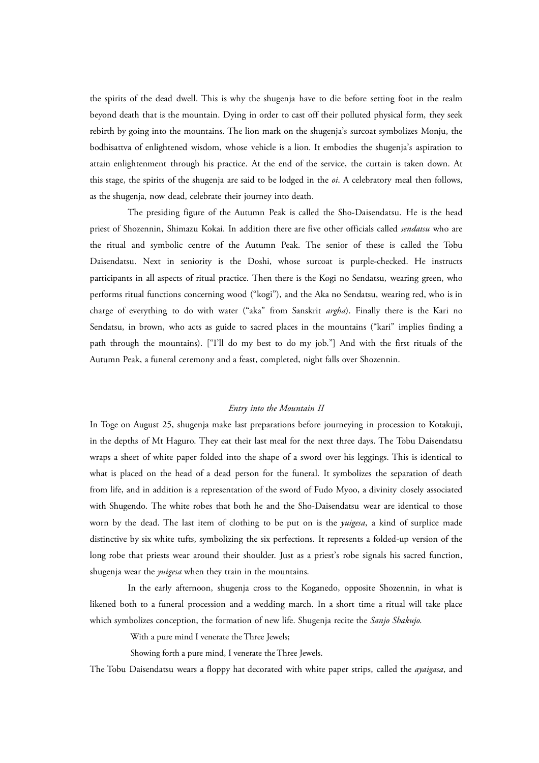the spirits of the dead dwell. This is why the shugenja have to die before setting foot in the realm beyond death that is the mountain. Dying in order to cast off their polluted physical form, they seek rebirth by going into the mountains. The lion mark on the shugenja's surcoat symbolizes Monju, the bodhisattva of enlightened wisdom, whose vehicle is a lion. It embodies the shugenja's aspiration to attain enlightenment through his practice. At the end of the service, the curtain is taken down. At this stage, the spirits of the shugenja are said to be lodged in the *oi*. A celebratory meal then follows, as the shugenja, now dead, celebrate their journey into death.

The presiding figure of the Autumn Peak is called the Sho-Daisendatsu. He is the head priest of Shozennin, Shimazu Kokai. In addition there are five other officials called *sendatsu* who are the ritual and symbolic centre of the Autumn Peak. The senior of these is called the Tobu Daisendatsu. Next in seniority is the Doshi, whose surcoat is purple-checked. He instructs participants in all aspects of ritual practice. Then there is the Kogi no Sendatsu, wearing green, who performs ritual functions concerning wood ("kogi"), and the Aka no Sendatsu, wearing red, who is in charge of everything to do with water ("aka" from Sanskrit *argha*). Finally there is the Kari no Sendatsu, in brown, who acts as guide to sacred places in the mountains ("kari" implies finding a path through the mountains). ["I'll do my best to do my job."] And with the first rituals of the Autumn Peak, a funeral ceremony and a feast, completed, night falls over Shozennin.

### *Entry into the Mountain II*

In Toge on August 25, shugenja make last preparations before journeying in procession to Kotakuji, in the depths of Mt Haguro. They eat their last meal for the next three days. The Tobu Daisendatsu wraps a sheet of white paper folded into the shape of a sword over his leggings. This is identical to what is placed on the head of a dead person for the funeral. It symbolizes the separation of death from life, and in addition is a representation of the sword of Fudo Myoo, a divinity closely associated with Shugendo. The white robes that both he and the Sho-Daisendatsu wear are identical to those worn by the dead. The last item of clothing to be put on is the *yuigesa*, a kind of surplice made distinctive by six white tufts, symbolizing the six perfections. It represents a folded-up version of the long robe that priests wear around their shoulder. Just as a priest's robe signals his sacred function, shugenja wear the *yuigesa* when they train in the mountains.

In the early afternoon, shugenja cross to the Koganedo, opposite Shozennin, in what is likened both to a funeral procession and a wedding march. In a short time a ritual will take place which symbolizes conception, the formation of new life. Shugenja recite the *Sanjo Shakujo*.

With a pure mind I venerate the Three Jewels;

Showing forth a pure mind, I venerate the Three Jewels.

The Tobu Daisendatsu wears a floppy hat decorated with white paper strips, called the *ayaigasa*, and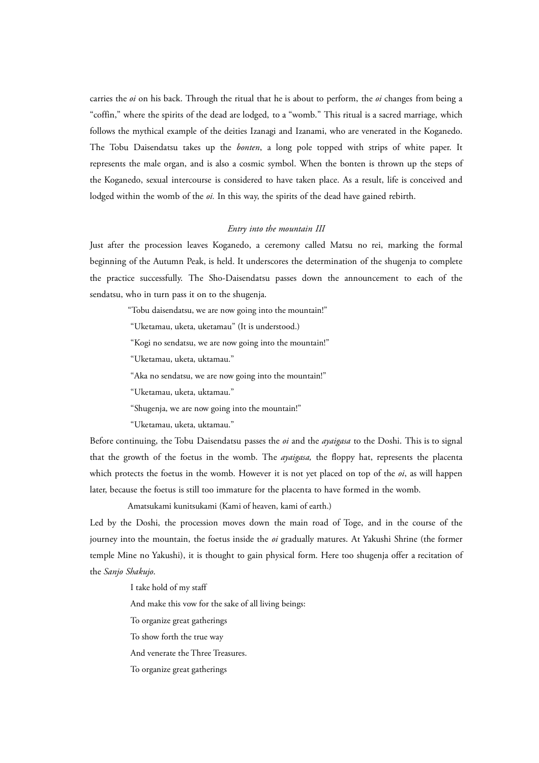carries the *oi* on his back. Through the ritual that he is about to perform, the *oi* changes from being a "coffin," where the spirits of the dead are lodged, to a "womb." This ritual is a sacred marriage, which follows the mythical example of the deities Izanagi and Izanami, who are venerated in the Koganedo. The Tobu Daisendatsu takes up the *bonten*, a long pole topped with strips of white paper. It represents the male organ, and is also a cosmic symbol. When the bonten is thrown up the steps of the Koganedo, sexual intercourse is considered to have taken place. As a result, life is conceived and lodged within the womb of the *oi*. In this way, the spirits of the dead have gained rebirth.

## *Entry into the mountain III*

Just after the procession leaves Koganedo, a ceremony called Matsu no rei, marking the formal beginning of the Autumn Peak, is held. It underscores the determination of the shugenja to complete the practice successfully. The Sho-Daisendatsu passes down the announcement to each of the sendatsu, who in turn pass it on to the shugenja.

"Tobu daisendatsu, we are now going into the mountain!"

"Uketamau, uketa, uketamau" (It is understood.)

"Kogi no sendatsu, we are now going into the mountain!"

"Uketamau, uketa, uktamau."

"Aka no sendatsu, we are now going into the mountain!"

"Uketamau, uketa, uktamau."

"Shugenja, we are now going into the mountain!"

"Uketamau, uketa, uktamau."

Before continuing, the Tobu Daisendatsu passes the *oi* and the *ayaigasa* to the Doshi. This is to signal that the growth of the foetus in the womb. The *ayaigasa,* the floppy hat, represents the placenta which protects the foetus in the womb. However it is not yet placed on top of the *oi*, as will happen later, because the foetus is still too immature for the placenta to have formed in the womb.

Amatsukami kunitsukami (Kami of heaven, kami of earth.)

Led by the Doshi, the procession moves down the main road of Toge, and in the course of the journey into the mountain, the foetus inside the *oi* gradually matures. At Yakushi Shrine (the former temple Mine no Yakushi), it is thought to gain physical form. Here too shugenja offer a recitation of the *Sanjo Shakujo*.

I take hold of my staff

And make this vow for the sake of all living beings:

To organize great gatherings

To show forth the true way

And venerate the Three Treasures.

To organize great gatherings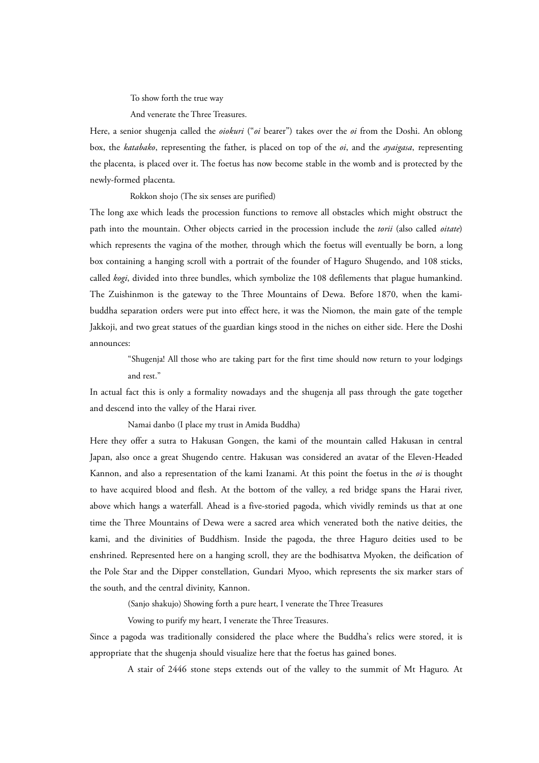To show forth the true way

And venerate the Three Treasures.

Here, a senior shugenja called the *oiokuri* ("*oi* bearer") takes over the *oi* from the Doshi. An oblong box, the *katabako*, representing the father, is placed on top of the *oi*, and the *ayaigasa*, representing the placenta, is placed over it. The foetus has now become stable in the womb and is protected by the newly-formed placenta.

Rokkon shojo (The six senses are purified)

The long axe which leads the procession functions to remove all obstacles which might obstruct the path into the mountain. Other objects carried in the procession include the *torii* (also called *oitate*) which represents the vagina of the mother, through which the foetus will eventually be born, a long box containing a hanging scroll with a portrait of the founder of Haguro Shugendo, and 108 sticks, called *kogi*, divided into three bundles, which symbolize the 108 defilements that plague humankind. The Zuishinmon is the gateway to the Three Mountains of Dewa. Before 1870, when the kamibuddha separation orders were put into effect here, it was the Niomon, the main gate of the temple Jakkoji, and two great statues of the guardian kings stood in the niches on either side. Here the Doshi announces:

"Shugenja! All those who are taking part for the first time should now return to your lodgings and rest."

In actual fact this is only a formality nowadays and the shugenja all pass through the gate together and descend into the valley of the Harai river.

Namai danbo (I place my trust in Amida Buddha)

Here they offer a sutra to Hakusan Gongen, the kami of the mountain called Hakusan in central Japan, also once a great Shugendo centre. Hakusan was considered an avatar of the Eleven-Headed Kannon, and also a representation of the kami Izanami. At this point the foetus in the *oi* is thought to have acquired blood and flesh. At the bottom of the valley, a red bridge spans the Harai river, above which hangs a waterfall. Ahead is a five-storied pagoda, which vividly reminds us that at one time the Three Mountains of Dewa were a sacred area which venerated both the native deities, the kami, and the divinities of Buddhism. Inside the pagoda, the three Haguro deities used to be enshrined. Represented here on a hanging scroll, they are the bodhisattva Myoken, the deification of the Pole Star and the Dipper constellation, Gundari Myoo, which represents the six marker stars of the south, and the central divinity, Kannon.

(Sanjo shakujo) Showing forth a pure heart, I venerate the Three Treasures

Vowing to purify my heart, I venerate the Three Treasures.

Since a pagoda was traditionally considered the place where the Buddha's relics were stored, it is appropriate that the shugenja should visualize here that the foetus has gained bones.

A stair of 2446 stone steps extends out of the valley to the summit of Mt Haguro. At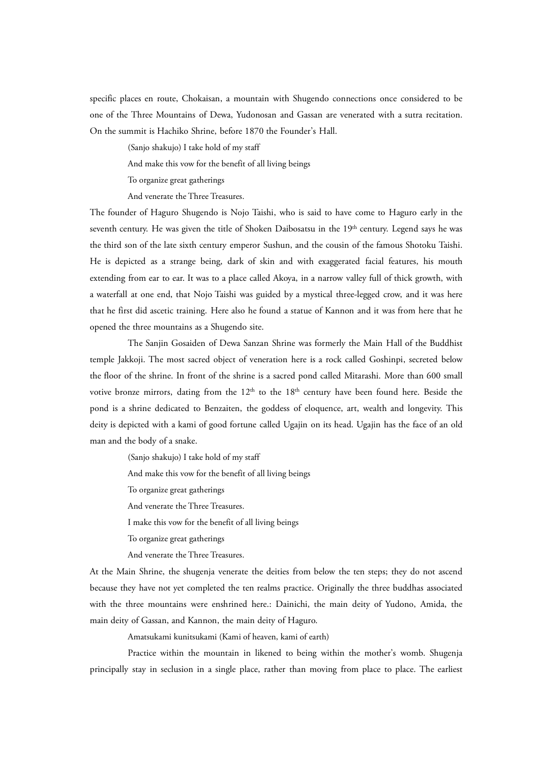specific places en route, Chokaisan, a mountain with Shugendo connections once considered to be one of the Three Mountains of Dewa, Yudonosan and Gassan are venerated with a sutra recitation. On the summit is Hachiko Shrine, before 1870 the Founder's Hall.

(Sanjo shakujo) I take hold of my staff

And make this vow for the benefit of all living beings

To organize great gatherings

And venerate the Three Treasures.

The founder of Haguro Shugendo is Nojo Taishi, who is said to have come to Haguro early in the seventh century. He was given the title of Shoken Daibosatsu in the 19<sup>th</sup> century. Legend says he was the third son of the late sixth century emperor Sushun, and the cousin of the famous Shotoku Taishi. He is depicted as a strange being, dark of skin and with exaggerated facial features, his mouth extending from ear to ear. It was to a place called Akoya, in a narrow valley full of thick growth, with a waterfall at one end, that Nojo Taishi was guided by a mystical three-legged crow, and it was here that he first did ascetic training. Here also he found a statue of Kannon and it was from here that he opened the three mountains as a Shugendo site.

The Sanjin Gosaiden of Dewa Sanzan Shrine was formerly the Main Hall of the Buddhist temple Jakkoji. The most sacred object of veneration here is a rock called Goshinpi, secreted below the floor of the shrine. In front of the shrine is a sacred pond called Mitarashi. More than 600 small votive bronze mirrors, dating from the  $12<sup>th</sup>$  to the  $18<sup>th</sup>$  century have been found here. Beside the pond is a shrine dedicated to Benzaiten, the goddess of eloquence, art, wealth and longevity. This deity is depicted with a kami of good fortune called Ugajin on its head. Ugajin has the face of an old man and the body of a snake.

(Sanjo shakujo) I take hold of my staff

And make this vow for the benefit of all living beings

To organize great gatherings

And venerate the Three Treasures.

I make this vow for the benefit of all living beings

To organize great gatherings

And venerate the Three Treasures.

At the Main Shrine, the shugenja venerate the deities from below the ten steps; they do not ascend because they have not yet completed the ten realms practice. Originally the three buddhas associated with the three mountains were enshrined here.: Dainichi, the main deity of Yudono, Amida, the main deity of Gassan, and Kannon, the main deity of Haguro.

Amatsukami kunitsukami (Kami of heaven, kami of earth)

Practice within the mountain in likened to being within the mother's womb. Shugenja principally stay in seclusion in a single place, rather than moving from place to place. The earliest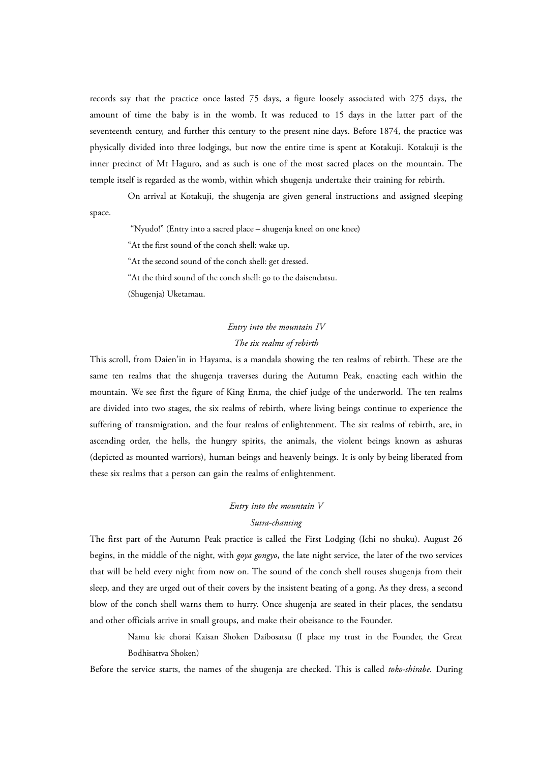records say that the practice once lasted 75 days, a figure loosely associated with 275 days, the amount of time the baby is in the womb. It was reduced to 15 days in the latter part of the seventeenth century, and further this century to the present nine days. Before 1874, the practice was physically divided into three lodgings, but now the entire time is spent at Kotakuji. Kotakuji is the inner precinct of Mt Haguro, and as such is one of the most sacred places on the mountain. The temple itself is regarded as the womb, within which shugenja undertake their training for rebirth.

On arrival at Kotakuji, the shugenja are given general instructions and assigned sleeping space.

"Nyudo!" (Entry into a sacred place – shugenja kneel on one knee)

"At the first sound of the conch shell: wake up.

"At the second sound of the conch shell: get dressed.

"At the third sound of the conch shell: go to the daisendatsu.

(Shugenja) Uketamau.

# *Entry into the mountain IV The six realms of rebirth*

This scroll, from Daien'in in Hayama, is a mandala showing the ten realms of rebirth. These are the same ten realms that the shugenja traverses during the Autumn Peak, enacting each within the mountain. We see first the figure of King Enma, the chief judge of the underworld. The ten realms are divided into two stages, the six realms of rebirth, where living beings continue to experience the suffering of transmigration, and the four realms of enlightenment. The six realms of rebirth, are, in ascending order, the hells, the hungry spirits, the animals, the violent beings known as ashuras (depicted as mounted warriors), human beings and heavenly beings. It is only by being liberated from these six realms that a person can gain the realms of enlightenment.

#### *Entry into the mountain V*

# *Sutra-chanting*

The first part of the Autumn Peak practice is called the First Lodging (Ichi no shuku). August 26 begins, in the middle of the night, with *goya gongyo***,** the late night service, the later of the two services that will be held every night from now on. The sound of the conch shell rouses shugenja from their sleep, and they are urged out of their covers by the insistent beating of a gong. As they dress, a second blow of the conch shell warns them to hurry. Once shugenja are seated in their places, the sendatsu and other officials arrive in small groups, and make their obeisance to the Founder.

Namu kie chorai Kaisan Shoken Daibosatsu (I place my trust in the Founder, the Great Bodhisattva Shoken)

Before the service starts, the names of the shugenja are checked. This is called *toko-shirabe*. During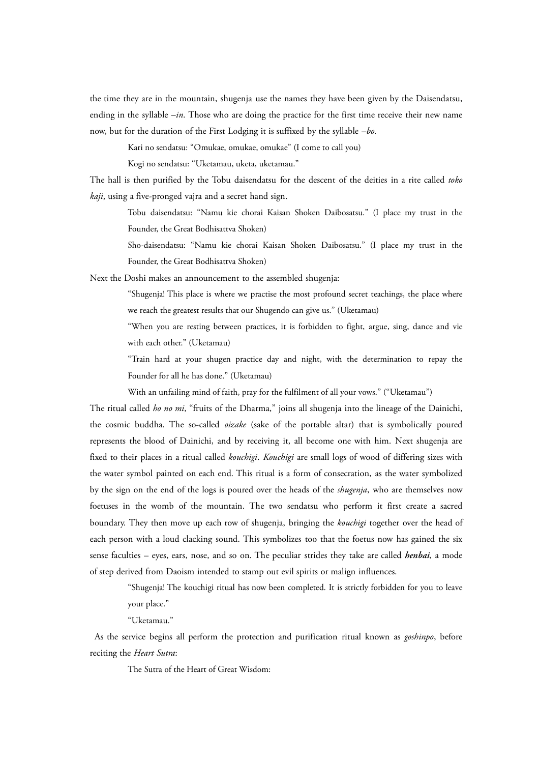the time they are in the mountain, shugenja use the names they have been given by the Daisendatsu, ending in the syllable  $-in$ . Those who are doing the practice for the first time receive their new name now, but for the duration of the First Lodging it is suffixed by the syllable –*bo*.

Kari no sendatsu: "Omukae, omukae, omukae" (I come to call you)

Kogi no sendatsu: "Uketamau, uketa, uketamau."

The hall is then purified by the Tobu daisendatsu for the descent of the deities in a rite called *toko kaji*, using a five-pronged vajra and a secret hand sign.

Tobu daisendatsu: "Namu kie chorai Kaisan Shoken Daibosatsu." (I place my trust in the Founder, the Great Bodhisattva Shoken)

Sho-daisendatsu: "Namu kie chorai Kaisan Shoken Daibosatsu." (I place my trust in the Founder, the Great Bodhisattva Shoken)

Next the Doshi makes an announcement to the assembled shugenja:

"Shugenja! This place is where we practise the most profound secret teachings, the place where we reach the greatest results that our Shugendo can give us." (Uketamau)

"When you are resting between practices, it is forbidden to fight, argue, sing, dance and vie with each other." (Uketamau)

"Train hard at your shugen practice day and night, with the determination to repay the Founder for all he has done." (Uketamau)

With an unfailing mind of faith, pray for the fulfilment of all your vows." ("Uketamau")

The ritual called *ho no mi*, "fruits of the Dharma," joins all shugenja into the lineage of the Dainichi, the cosmic buddha. The so-called *oizake* (sake of the portable altar) that is symbolically poured represents the blood of Dainichi, and by receiving it, all become one with him. Next shugenja are fixed to their places in a ritual called *kouchigi***.** *Kouchigi* are small logs of wood of differing sizes with the water symbol painted on each end. This ritual is a form of consecration, as the water symbolized by the sign on the end of the logs is poured over the heads of the *shugenja*, who are themselves now foetuses in the womb of the mountain. The two sendatsu who perform it first create a sacred boundary. They then move up each row of shugenja, bringing the *kouchigi* together over the head of each person with a loud clacking sound. This symbolizes too that the foetus now has gained the six sense faculties – eyes, ears, nose, and so on. The peculiar strides they take are called *henbai*, a mode of step derived from Daoism intended to stamp out evil spirits or malign influences.

"Shugenja! The kouchigi ritual has now been completed. It is strictly forbidden for you to leave your place."

"Uketamau."

As the service begins all perform the protection and purification ritual known as *goshinpo*, before reciting the *Heart Sutra*:

The Sutra of the Heart of Great Wisdom: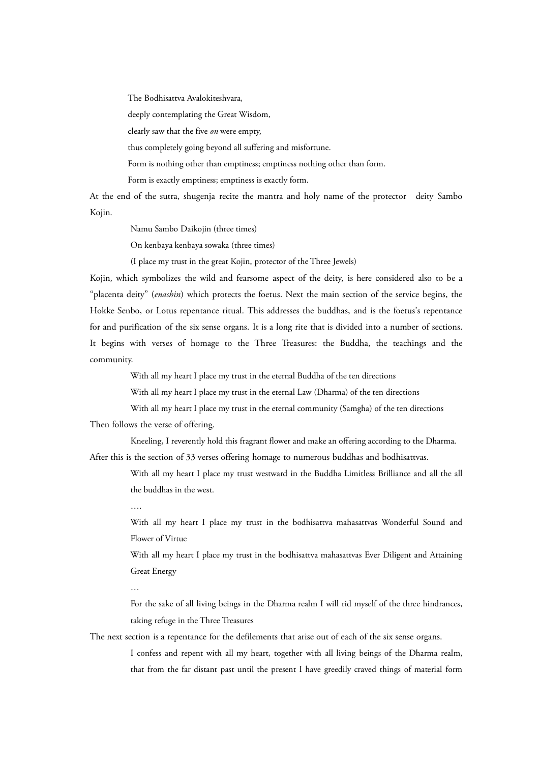The Bodhisattva Avalokiteshvara,

deeply contemplating the Great Wisdom,

clearly saw that the five *on* were empty,

thus completely going beyond all suffering and misfortune.

Form is nothing other than emptiness; emptiness nothing other than form.

Form is exactly emptiness; emptiness is exactly form.

At the end of the sutra, shugenja recite the mantra and holy name of the protector deity Sambo Kojin.

Namu Sambo Daikojin (three times)

On kenbaya kenbaya sowaka (three times)

(I place my trust in the great Kojin, protector of the Three Jewels)

Kojin, which symbolizes the wild and fearsome aspect of the deity, is here considered also to be a "placenta deity" (*enashin*) which protects the foetus. Next the main section of the service begins, the Hokke Senbo, or Lotus repentance ritual. This addresses the buddhas, and is the foetus's repentance for and purification of the six sense organs. It is a long rite that is divided into a number of sections. It begins with verses of homage to the Three Treasures: the Buddha, the teachings and the community.

With all my heart I place my trust in the eternal Buddha of the ten directions

With all my heart I place my trust in the eternal Law (Dharma) of the ten directions

With all my heart I place my trust in the eternal community (Samgha) of the ten directions Then follows the verse of offering.

Kneeling, I reverently hold this fragrant flower and make an offering according to the Dharma. After this is the section of 33 verses offering homage to numerous buddhas and bodhisattvas.

> With all my heart I place my trust westward in the Buddha Limitless Brilliance and all the all the buddhas in the west.

With all my heart I place my trust in the bodhisattva mahasattvas Wonderful Sound and Flower of Virtue

With all my heart I place my trust in the bodhisattva mahasattvas Ever Diligent and Attaining Great Energy

For the sake of all living beings in the Dharma realm I will rid myself of the three hindrances, taking refuge in the Three Treasures

The next section is a repentance for the defilements that arise out of each of the six sense organs.

I confess and repent with all my heart, together with all living beings of the Dharma realm, that from the far distant past until the present I have greedily craved things of material form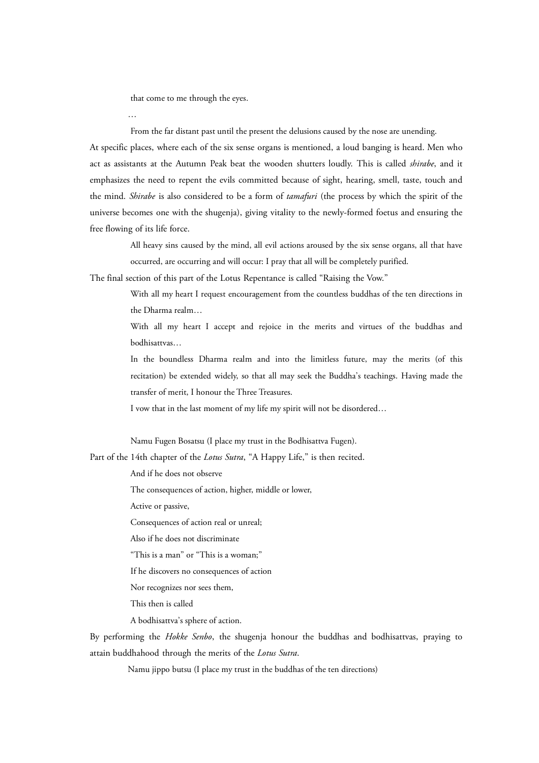that come to me through the eyes.

…

From the far distant past until the present the delusions caused by the nose are unending.

At specific places, where each of the six sense organs is mentioned, a loud banging is heard. Men who act as assistants at the Autumn Peak beat the wooden shutters loudly. This is called *shirabe*, and it emphasizes the need to repent the evils committed because of sight, hearing, smell, taste, touch and the mind. *Shirabe* is also considered to be a form of *tamafuri* (the process by which the spirit of the universe becomes one with the shugenja), giving vitality to the newly-formed foetus and ensuring the free flowing of its life force.

All heavy sins caused by the mind, all evil actions aroused by the six sense organs, all that have occurred, are occurring and will occur: I pray that all will be completely purified.

The final section of this part of the Lotus Repentance is called "Raising the Vow."

With all my heart I request encouragement from the countless buddhas of the ten directions in the Dharma realm…

With all my heart I accept and rejoice in the merits and virtues of the buddhas and bodhisattvas…

In the boundless Dharma realm and into the limitless future, may the merits (of this recitation) be extended widely, so that all may seek the Buddha's teachings. Having made the transfer of merit, I honour the Three Treasures.

I vow that in the last moment of my life my spirit will not be disordered…

Namu Fugen Bosatsu (I place my trust in the Bodhisattva Fugen).

Part of the 14th chapter of the *Lotus Sutra*, "A Happy Life," is then recited.

And if he does not observe

The consequences of action, higher, middle or lower,

Active or passive,

Consequences of action real or unreal;

Also if he does not discriminate

"This is a man" or "This is a woman;"

If he discovers no consequences of action

Nor recognizes nor sees them,

This then is called

A bodhisattva's sphere of action.

By performing the *Hokke Senbo*, the shugenja honour the buddhas and bodhisattvas, praying to attain buddhahood through the merits of the *Lotus Sutra*.

Namu jippo butsu (I place my trust in the buddhas of the ten directions)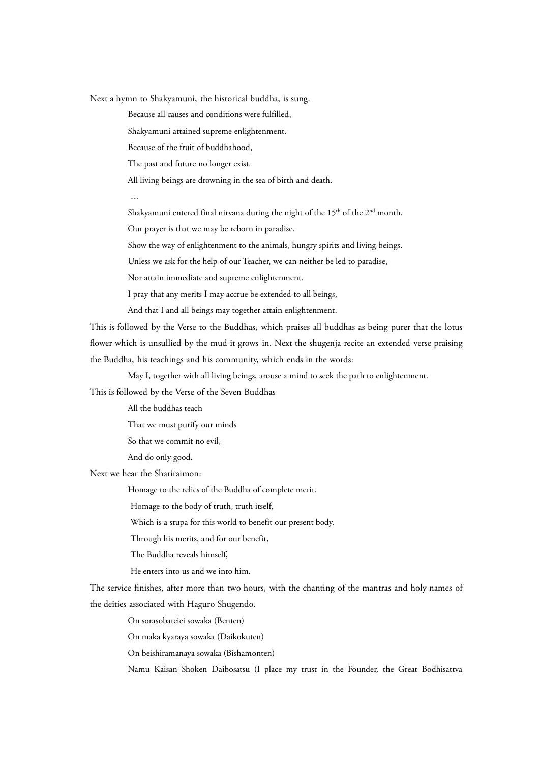Next a hymn to Shakyamuni, the historical buddha, is sung.

Because all causes and conditions were fulfilled,

Shakyamuni attained supreme enlightenment.

Because of the fruit of buddhahood,

The past and future no longer exist.

All living beings are drowning in the sea of birth and death.

…

Shakyamuni entered final nirvana during the night of the 15<sup>th</sup> of the 2<sup>nd</sup> month.

Our prayer is that we may be reborn in paradise.

Show the way of enlightenment to the animals, hungry spirits and living beings.

Unless we ask for the help of our Teacher, we can neither be led to paradise,

Nor attain immediate and supreme enlightenment.

I pray that any merits I may accrue be extended to all beings,

And that I and all beings may together attain enlightenment.

This is followed by the Verse to the Buddhas, which praises all buddhas as being purer that the lotus flower which is unsullied by the mud it grows in. Next the shugenja recite an extended verse praising the Buddha, his teachings and his community, which ends in the words:

May I, together with all living beings, arouse a mind to seek the path to enlightenment.

This is followed by the Verse of the Seven Buddhas

All the buddhas teach

That we must purify our minds

So that we commit no evil,

And do only good.

Next we hear the Shariraimon:

Homage to the relics of the Buddha of complete merit.

Homage to the body of truth, truth itself,

Which is a stupa for this world to benefit our present body.

Through his merits, and for our benefit,

The Buddha reveals himself,

He enters into us and we into him.

The service finishes, after more than two hours, with the chanting of the mantras and holy names of the deities associated with Haguro Shugendo.

On sorasobateiei sowaka (Benten)

On maka kyaraya sowaka (Daikokuten)

On beishiramanaya sowaka (Bishamonten)

Namu Kaisan Shoken Daibosatsu (I place my trust in the Founder, the Great Bodhisattva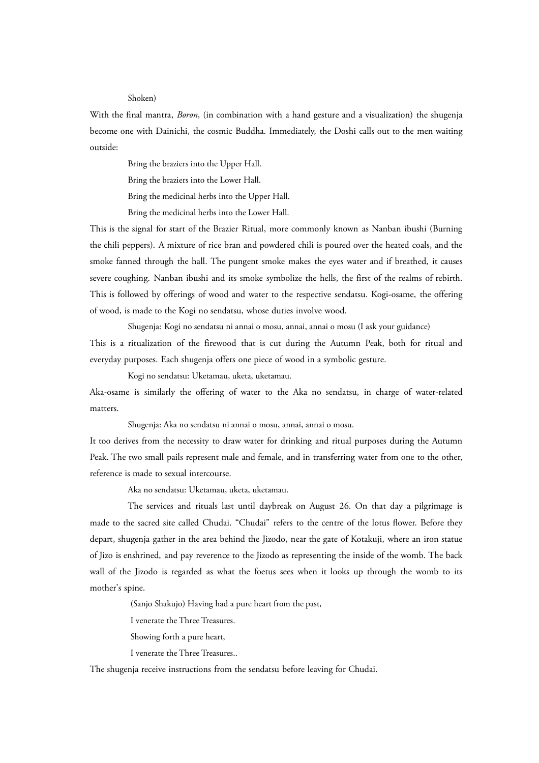#### Shoken)

With the final mantra, *Boron*, (in combination with a hand gesture and a visualization) the shugenja become one with Dainichi, the cosmic Buddha. Immediately, the Doshi calls out to the men waiting outside:

Bring the braziers into the Upper Hall.

Bring the braziers into the Lower Hall.

Bring the medicinal herbs into the Upper Hall.

Bring the medicinal herbs into the Lower Hall.

This is the signal for start of the Brazier Ritual, more commonly known as Nanban ibushi (Burning the chili peppers). A mixture of rice bran and powdered chili is poured over the heated coals, and the smoke fanned through the hall. The pungent smoke makes the eyes water and if breathed, it causes severe coughing. Nanban ibushi and its smoke symbolize the hells, the first of the realms of rebirth. This is followed by offerings of wood and water to the respective sendatsu. Kogi-osame, the offering of wood, is made to the Kogi no sendatsu, whose duties involve wood.

Shugenja: Kogi no sendatsu ni annai o mosu, annai, annai o mosu (I ask your guidance)

This is a ritualization of the firewood that is cut during the Autumn Peak, both for ritual and everyday purposes. Each shugenja offers one piece of wood in a symbolic gesture.

Kogi no sendatsu: Uketamau, uketa, uketamau.

Aka-osame is similarly the offering of water to the Aka no sendatsu, in charge of water-related matters.

Shugenja: Aka no sendatsu ni annai o mosu, annai, annai o mosu.

It too derives from the necessity to draw water for drinking and ritual purposes during the Autumn Peak. The two small pails represent male and female, and in transferring water from one to the other, reference is made to sexual intercourse.

Aka no sendatsu: Uketamau, uketa, uketamau.

The services and rituals last until daybreak on August 26. On that day a pilgrimage is made to the sacred site called Chudai. "Chudai" refers to the centre of the lotus flower. Before they depart, shugenja gather in the area behind the Jizodo, near the gate of Kotakuji, where an iron statue of Jizo is enshrined, and pay reverence to the Jizodo as representing the inside of the womb. The back wall of the Jizodo is regarded as what the foetus sees when it looks up through the womb to its mother's spine.

(Sanjo Shakujo) Having had a pure heart from the past,

I venerate the Three Treasures.

Showing forth a pure heart,

I venerate the Three Treasures..

The shugenja receive instructions from the sendatsu before leaving for Chudai.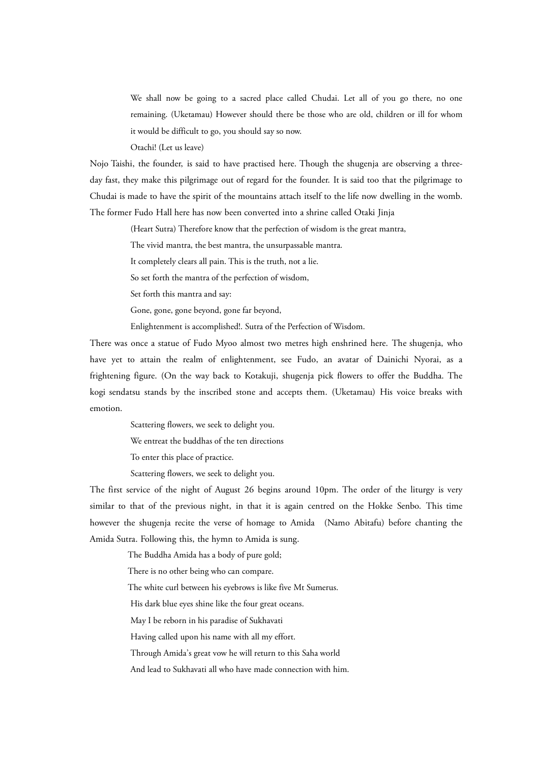We shall now be going to a sacred place called Chudai. Let all of you go there, no one remaining. (Uketamau) However should there be those who are old, children or ill for whom it would be difficult to go, you should say so now.

Otachi! (Let us leave)

Nojo Taishi, the founder, is said to have practised here. Though the shugenja are observing a threeday fast, they make this pilgrimage out of regard for the founder. It is said too that the pilgrimage to Chudai is made to have the spirit of the mountains attach itself to the life now dwelling in the womb. The former Fudo Hall here has now been converted into a shrine called Otaki Jinja

(Heart Sutra) Therefore know that the perfection of wisdom is the great mantra,

The vivid mantra, the best mantra, the unsurpassable mantra.

It completely clears all pain. This is the truth, not a lie.

So set forth the mantra of the perfection of wisdom,

Set forth this mantra and say:

Gone, gone, gone beyond, gone far beyond,

Enlightenment is accomplished!. Sutra of the Perfection of Wisdom.

There was once a statue of Fudo Myoo almost two metres high enshrined here. The shugenja, who have yet to attain the realm of enlightenment, see Fudo, an avatar of Dainichi Nyorai, as a frightening figure. (On the way back to Kotakuji, shugenja pick flowers to offer the Buddha. The kogi sendatsu stands by the inscribed stone and accepts them. (Uketamau) His voice breaks with emotion.

Scattering flowers, we seek to delight you.

We entreat the buddhas of the ten directions

To enter this place of practice.

Scattering flowers, we seek to delight you.

The first service of the night of August 26 begins around 10pm. The order of the liturgy is very similar to that of the previous night, in that it is again centred on the Hokke Senbo. This time however the shugenja recite the verse of homage to Amida (Namo Abitafu) before chanting the Amida Sutra. Following this, the hymn to Amida is sung.

The Buddha Amida has a body of pure gold;

There is no other being who can compare.

The white curl between his eyebrows is like five Mt Sumerus.

His dark blue eyes shine like the four great oceans.

May I be reborn in his paradise of Sukhavati

Having called upon his name with all my effort.

Through Amida's great vow he will return to this Saha world

And lead to Sukhavati all who have made connection with him.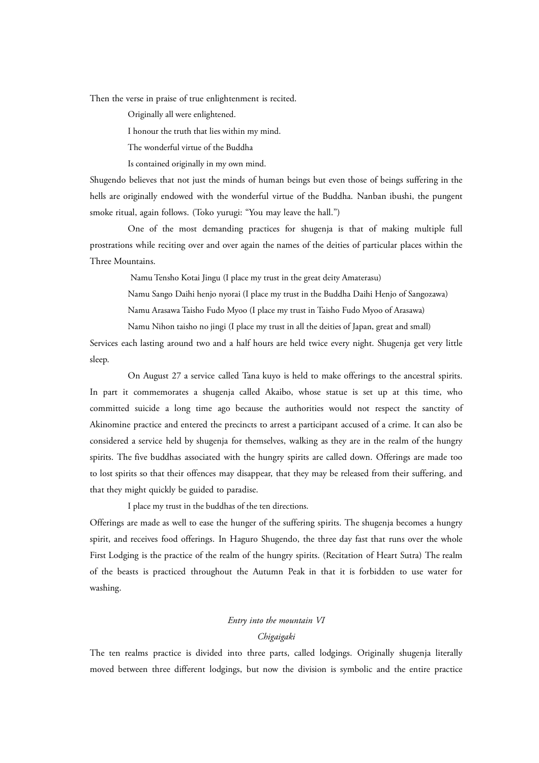Then the verse in praise of true enlightenment is recited.

Originally all were enlightened.

I honour the truth that lies within my mind.

The wonderful virtue of the Buddha

Is contained originally in my own mind.

Shugendo believes that not just the minds of human beings but even those of beings suffering in the hells are originally endowed with the wonderful virtue of the Buddha. Nanban ibushi, the pungent smoke ritual, again follows. (Toko yurugi: "You may leave the hall.")

One of the most demanding practices for shugenja is that of making multiple full prostrations while reciting over and over again the names of the deities of particular places within the Three Mountains.

Namu Tensho Kotai Jingu (I place my trust in the great deity Amaterasu)

Namu Sango Daihi henjo nyorai (I place my trust in the Buddha Daihi Henjo of Sangozawa)

Namu Arasawa Taisho Fudo Myoo (I place my trust in Taisho Fudo Myoo of Arasawa)

Namu Nihon taisho no jingi (I place my trust in all the deities of Japan, great and small)

Services each lasting around two and a half hours are held twice every night. Shugenja get very little sleep.

On August 27 a service called Tana kuyo is held to make offerings to the ancestral spirits. In part it commemorates a shugenja called Akaibo, whose statue is set up at this time, who committed suicide a long time ago because the authorities would not respect the sanctity of Akinomine practice and entered the precincts to arrest a participant accused of a crime. It can also be considered a service held by shugenja for themselves, walking as they are in the realm of the hungry spirits. The five buddhas associated with the hungry spirits are called down. Offerings are made too to lost spirits so that their offences may disappear, that they may be released from their suffering, and that they might quickly be guided to paradise.

I place my trust in the buddhas of the ten directions.

Offerings are made as well to ease the hunger of the suffering spirits. The shugenja becomes a hungry spirit, and receives food offerings. In Haguro Shugendo, the three day fast that runs over the whole First Lodging is the practice of the realm of the hungry spirits. (Recitation of Heart Sutra) The realm of the beasts is practiced throughout the Autumn Peak in that it is forbidden to use water for washing.

# *Entry into the mountain VI*

# *Chigaigaki*

The ten realms practice is divided into three parts, called lodgings. Originally shugenja literally moved between three different lodgings, but now the division is symbolic and the entire practice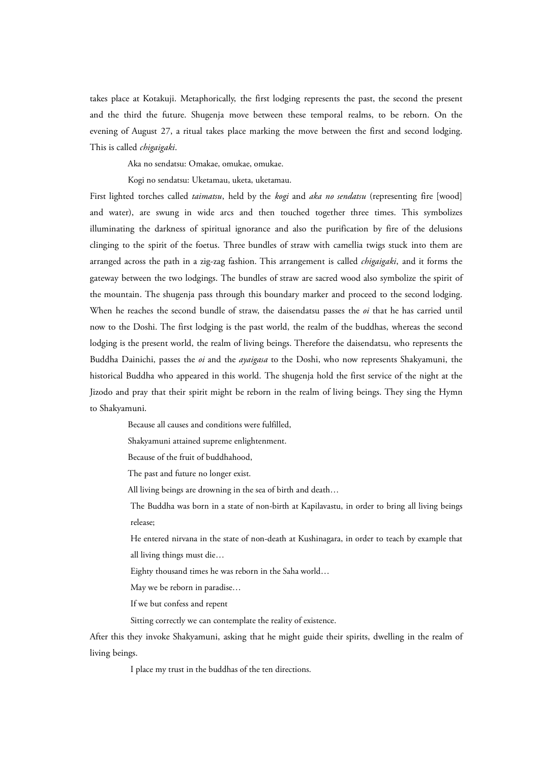takes place at Kotakuji. Metaphorically, the first lodging represents the past, the second the present and the third the future. Shugenja move between these temporal realms, to be reborn. On the evening of August 27, a ritual takes place marking the move between the first and second lodging. This is called *chigaigaki*.

Aka no sendatsu: Omakae, omukae, omukae.

Kogi no sendatsu: Uketamau, uketa, uketamau.

First lighted torches called *taimatsu*, held by the *kogi* and *aka no sendatsu* (representing fire [wood] and water), are swung in wide arcs and then touched together three times. This symbolizes illuminating the darkness of spiritual ignorance and also the purification by fire of the delusions clinging to the spirit of the foetus. Three bundles of straw with camellia twigs stuck into them are arranged across the path in a zig-zag fashion. This arrangement is called *chigaigaki*, and it forms the gateway between the two lodgings. The bundles of straw are sacred wood also symbolize the spirit of the mountain. The shugenja pass through this boundary marker and proceed to the second lodging. When he reaches the second bundle of straw, the daisendatsu passes the *oi* that he has carried until now to the Doshi. The first lodging is the past world, the realm of the buddhas, whereas the second lodging is the present world, the realm of living beings. Therefore the daisendatsu, who represents the Buddha Dainichi, passes the *oi* and the *ayaigasa* to the Doshi, who now represents Shakyamuni, the historical Buddha who appeared in this world. The shugenja hold the first service of the night at the Jizodo and pray that their spirit might be reborn in the realm of living beings. They sing the Hymn to Shakyamuni.

Because all causes and conditions were fulfilled,

Shakyamuni attained supreme enlightenment.

Because of the fruit of buddhahood,

The past and future no longer exist.

All living beings are drowning in the sea of birth and death…

The Buddha was born in a state of non-birth at Kapilavastu, in order to bring all living beings release;

He entered nirvana in the state of non-death at Kushinagara, in order to teach by example that all living things must die…

Eighty thousand times he was reborn in the Saha world…

May we be reborn in paradise…

If we but confess and repent

Sitting correctly we can contemplate the reality of existence.

After this they invoke Shakyamuni, asking that he might guide their spirits, dwelling in the realm of living beings.

I place my trust in the buddhas of the ten directions.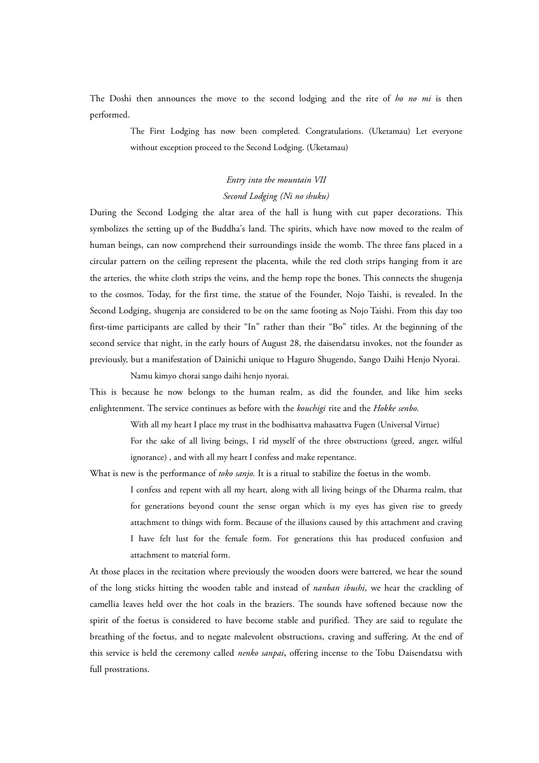The Doshi then announces the move to the second lodging and the rite of *ho no mi* is then performed.

> The First Lodging has now been completed. Congratulations. (Uketamau) Let everyone without exception proceed to the Second Lodging. (Uketamau)

# *Entry into the mountain VII Second Lodging (Ni no shuku)*

During the Second Lodging the altar area of the hall is hung with cut paper decorations. This symbolizes the setting up of the Buddha's land. The spirits, which have now moved to the realm of human beings, can now comprehend their surroundings inside the womb. The three fans placed in a circular pattern on the ceiling represent the placenta, while the red cloth strips hanging from it are the arteries, the white cloth strips the veins, and the hemp rope the bones. This connects the shugenja to the cosmos. Today, for the first time, the statue of the Founder, Nojo Taishi, is revealed. In the Second Lodging, shugenja are considered to be on the same footing as Nojo Taishi. From this day too first-time participants are called by their "In" rather than their "Bo" titles. At the beginning of the second service that night, in the early hours of August 28, the daisendatsu invokes, not the founder as previously, but a manifestation of Dainichi unique to Haguro Shugendo, Sango Daihi Henjo Nyorai.

Namu kimyo chorai sango daihi henjo nyorai.

This is because he now belongs to the human realm, as did the founder, and like him seeks enlightenment. The service continues as before with the *kouchigi* rite and the *Hokke senbo*.

> With all my heart I place my trust in the bodhisattva mahasattva Fugen (Universal Virtue) For the sake of all living beings, I rid myself of the three obstructions (greed, anger, wilful ignorance) , and with all my heart I confess and make repentance.

What is new is the performance of *toko sanjo*. It is a ritual to stabilize the foetus in the womb.

I confess and repent with all my heart, along with all living beings of the Dharma realm, that for generations beyond count the sense organ which is my eyes has given rise to greedy attachment to things with form. Because of the illusions caused by this attachment and craving I have felt lust for the female form. For generations this has produced confusion and attachment to material form.

At those places in the recitation where previously the wooden doors were battered, we hear the sound of the long sticks hitting the wooden table and instead of *nanban ibushi*, we hear the crackling of camellia leaves held over the hot coals in the braziers. The sounds have softened because now the spirit of the foetus is considered to have become stable and purified. They are said to regulate the breathing of the foetus, and to negate malevolent obstructions, craving and suffering. At the end of this service is held the ceremony called *nenko sanpai***,** offering incense to the Tobu Daisendatsu with full prostrations.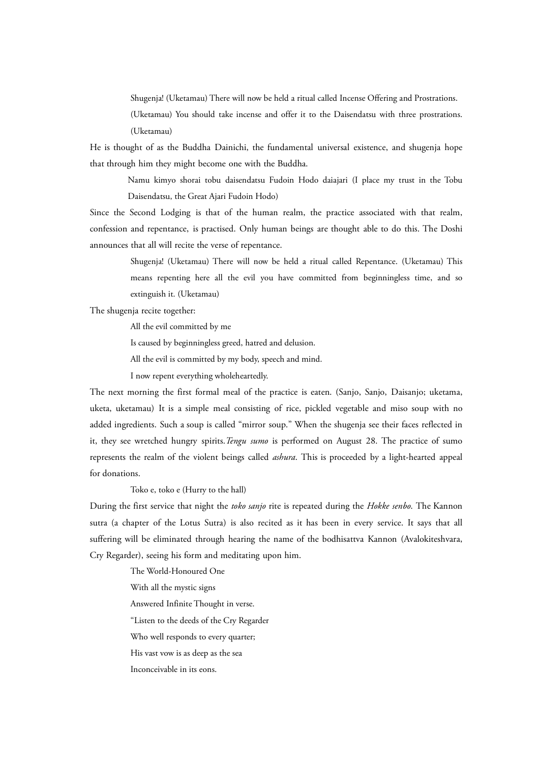Shugenja! (Uketamau) There will now be held a ritual called Incense Offering and Prostrations.

(Uketamau) You should take incense and offer it to the Daisendatsu with three prostrations. (Uketamau)

He is thought of as the Buddha Dainichi, the fundamental universal existence, and shugenja hope that through him they might become one with the Buddha.

Namu kimyo shorai tobu daisendatsu Fudoin Hodo daiajari (I place my trust in the Tobu Daisendatsu, the Great Ajari Fudoin Hodo)

Since the Second Lodging is that of the human realm, the practice associated with that realm, confession and repentance, is practised. Only human beings are thought able to do this. The Doshi announces that all will recite the verse of repentance.

> Shugenja! (Uketamau) There will now be held a ritual called Repentance. (Uketamau) This means repenting here all the evil you have committed from beginningless time, and so extinguish it. (Uketamau)

The shugenja recite together:

All the evil committed by me

Is caused by beginningless greed, hatred and delusion.

All the evil is committed by my body, speech and mind.

I now repent everything wholeheartedly.

The next morning the first formal meal of the practice is eaten. (Sanjo, Sanjo, Daisanjo; uketama, uketa, uketamau) It is a simple meal consisting of rice, pickled vegetable and miso soup with no added ingredients. Such a soup is called "mirror soup." When the shugenja see their faces reflected in it, they see wretched hungry spirits.*Tengu sumo* is performed on August 28. The practice of sumo represents the realm of the violent beings called *ashura*. This is proceeded by a light-hearted appeal for donations.

Toko e, toko e (Hurry to the hall)

During the first service that night the *toko sanjo* rite is repeated during the *Hokke senbo*. The Kannon sutra (a chapter of the Lotus Sutra) is also recited as it has been in every service. It says that all suffering will be eliminated through hearing the name of the bodhisattva Kannon (Avalokiteshvara, Cry Regarder), seeing his form and meditating upon him.

> The World-Honoured One With all the mystic signs Answered Infinite Thought in verse. "Listen to the deeds of the Cry Regarder Who well responds to every quarter; His vast vow is as deep as the sea Inconceivable in its eons.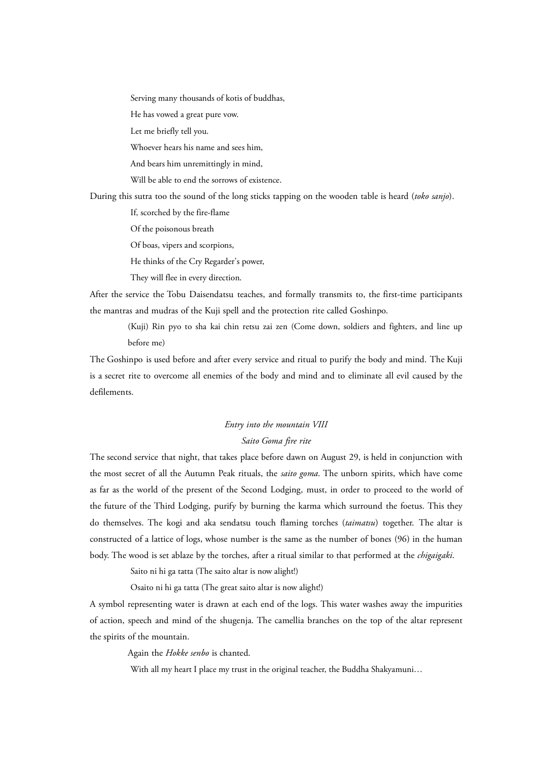Serving many thousands of kotis of buddhas,

He has vowed a great pure vow.

Let me briefly tell you.

Whoever hears his name and sees him,

And bears him unremittingly in mind,

Will be able to end the sorrows of existence.

During this sutra too the sound of the long sticks tapping on the wooden table is heard (*toko sanjo*).

If, scorched by the fire-flame

Of the poisonous breath

Of boas, vipers and scorpions,

He thinks of the Cry Regarder's power,

They will flee in every direction.

After the service the Tobu Daisendatsu teaches, and formally transmits to, the first-time participants the mantras and mudras of the Kuji spell and the protection rite called Goshinpo.

(Kuji) Rin pyo to sha kai chin retsu zai zen (Come down, soldiers and fighters, and line up before me)

The Goshinpo is used before and after every service and ritual to purify the body and mind. The Kuji is a secret rite to overcome all enemies of the body and mind and to eliminate all evil caused by the defilements.

# *Entry into the mountain VIII Saito Goma fire rite*

The second service that night, that takes place before dawn on August 29, is held in conjunction with the most secret of all the Autumn Peak rituals, the *saito goma*. The unborn spirits, which have come as far as the world of the present of the Second Lodging, must, in order to proceed to the world of the future of the Third Lodging, purify by burning the karma which surround the foetus. This they do themselves. The kogi and aka sendatsu touch flaming torches (*taimatsu*) together. The altar is constructed of a lattice of logs, whose number is the same as the number of bones (96) in the human body. The wood is set ablaze by the torches, after a ritual similar to that performed at the *chigaigaki*.

Saito ni hi ga tatta (The saito altar is now alight!)

Osaito ni hi ga tatta (The great saito altar is now alight!)

A symbol representing water is drawn at each end of the logs. This water washes away the impurities of action, speech and mind of the shugenja. The camellia branches on the top of the altar represent the spirits of the mountain.

Again the *Hokke senbo* is chanted.

With all my heart I place my trust in the original teacher, the Buddha Shakyamuni...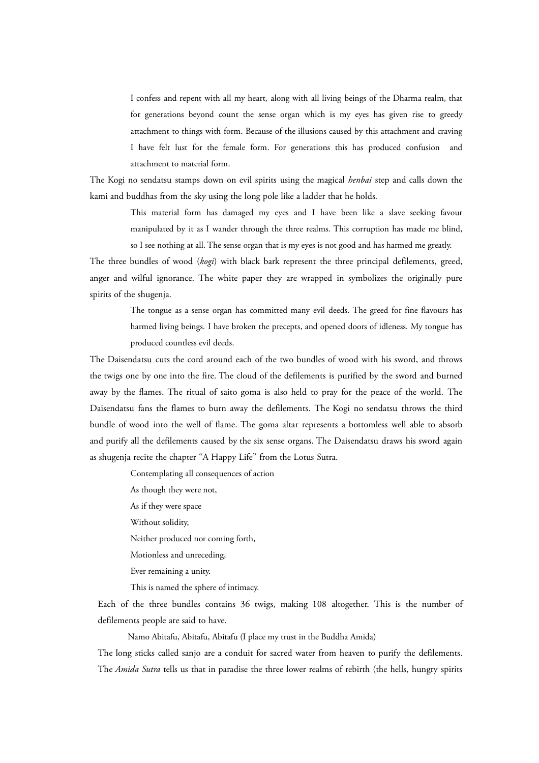I confess and repent with all my heart, along with all living beings of the Dharma realm, that for generations beyond count the sense organ which is my eyes has given rise to greedy attachment to things with form. Because of the illusions caused by this attachment and craving I have felt lust for the female form. For generations this has produced confusion and attachment to material form.

The Kogi no sendatsu stamps down on evil spirits using the magical *henbai* step and calls down the kami and buddhas from the sky using the long pole like a ladder that he holds.

> This material form has damaged my eyes and I have been like a slave seeking favour manipulated by it as I wander through the three realms. This corruption has made me blind, so I see nothing at all. The sense organ that is my eyes is not good and has harmed me greatly.

The three bundles of wood (*kogi*) with black bark represent the three principal defilements, greed, anger and wilful ignorance. The white paper they are wrapped in symbolizes the originally pure spirits of the shugenja.

> The tongue as a sense organ has committed many evil deeds. The greed for fine flavours has harmed living beings. I have broken the precepts, and opened doors of idleness. My tongue has produced countless evil deeds.

The Daisendatsu cuts the cord around each of the two bundles of wood with his sword, and throws the twigs one by one into the fire. The cloud of the defilements is purified by the sword and burned away by the flames. The ritual of saito goma is also held to pray for the peace of the world. The Daisendatsu fans the flames to burn away the defilements. The Kogi no sendatsu throws the third bundle of wood into the well of flame. The goma altar represents a bottomless well able to absorb and purify all the defilements caused by the six sense organs. The Daisendatsu draws his sword again as shugenja recite the chapter "A Happy Life" from the Lotus Sutra.

Contemplating all consequences of action

As though they were not,

As if they were space

Without solidity,

Neither produced nor coming forth,

Motionless and unreceding,

Ever remaining a unity.

This is named the sphere of intimacy.

Each of the three bundles contains 36 twigs, making 108 altogether. This is the number of defilements people are said to have.

Namo Abitafu, Abitafu, Abitafu (I place my trust in the Buddha Amida)

The long sticks called sanjo are a conduit for sacred water from heaven to purify the defilements. The *Amida Sutra* tells us that in paradise the three lower realms of rebirth (the hells, hungry spirits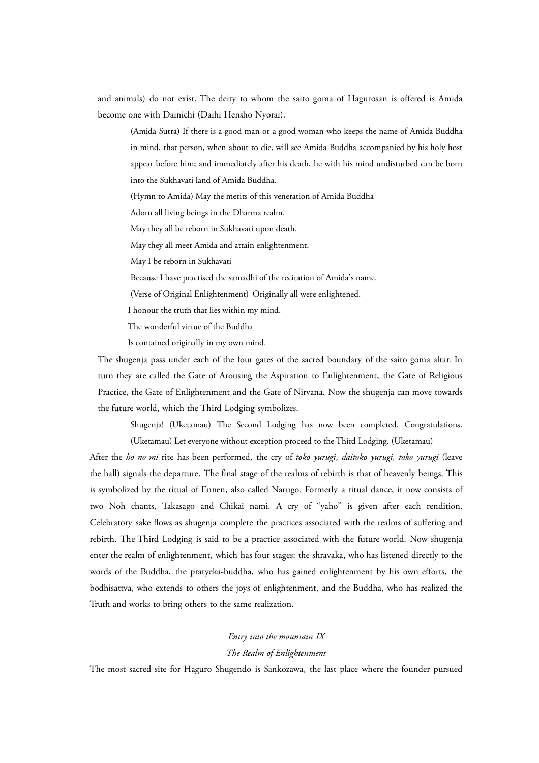and animals) do not exist. The deity to whom the saito goma of Hagurosan is offered is Amida become one with Dainichi (Daihi Hensho Nyorai).

(Amida Sutra) If there is a good man or a good woman who keeps the name of Amida Buddha in mind, that person, when about to die, will see Amida Buddha accompanied by his holy host appear before him; and immediately after his death, he with his mind undisturbed can be born into the Sukhavati land of Amida Buddha.

(Hymn to Amida) May the merits of this veneration of Amida Buddha

Adorn all living beings in the Dharma realm.

May they all be reborn in Sukhavati upon death.

May they all meet Amida and attain enlightenment.

May I be reborn in Sukhavati

Because I have practised the samadhi of the recitation of Amida's name.

(Verse of Original Enlightenment) Originally all were enlightened.

I honour the truth that lies within my mind.

The wonderful virtue of the Buddha

Is contained originally in my own mind.

The shugenja pass under each of the four gates of the sacred boundary of the saito goma altar. In turn they are called the Gate of Arousing the Aspiration to Enlightenment, the Gate of Religious Practice, the Gate of Enlightenment and the Gate of Nirvana. Now the shugenja can move towards the future world, which the Third Lodging symbolizes.

Shugenja! (Uketamau) The Second Lodging has now been completed. Congratulations. (Uketamau) Let everyone without exception proceed to the Third Lodging. (Uketamau)

After the *ho no mi* rite has been performed, the cry of *toko yurugi*, *daitoko yurugi, toko yurugi* (leave the hall) signals the departure. The final stage of the realms of rebirth is that of heavenly beings. This is symbolized by the ritual of Ennen, also called Narugo. Formerly a ritual dance, it now consists of two Noh chants, Takasago and Chikai nami. A cry of "yaho" is given after each rendition. Celebratory sake flows as shugenja complete the practices associated with the realms of suffering and rebirth. The Third Lodging is said to be a practice associated with the future world. Now shugenja enter the realm of enlightenment, which has four stages: the shravaka, who has listened directly to the words of the Buddha, the pratyeka-buddha, who has gained enlightenment by his own efforts, the bodhisattva, who extends to others the joys of enlightenment, and the Buddha, who has realized the Truth and works to bring others to the same realization.

## *Entry into the mountain IX*

## *The Realm of Enlightenment*

The most sacred site for Haguro Shugendo is Sankozawa, the last place where the founder pursued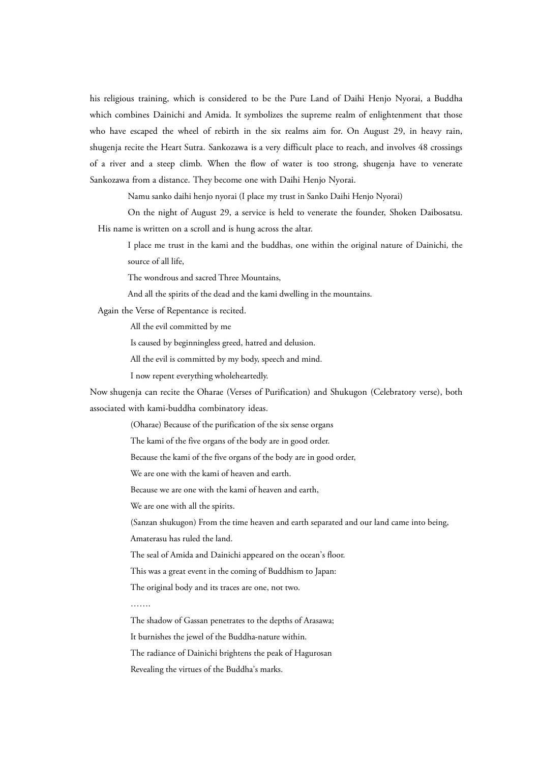his religious training, which is considered to be the Pure Land of Daihi Henjo Nyorai, a Buddha which combines Dainichi and Amida. It symbolizes the supreme realm of enlightenment that those who have escaped the wheel of rebirth in the six realms aim for. On August 29, in heavy rain, shugenja recite the Heart Sutra. Sankozawa is a very difficult place to reach, and involves 48 crossings of a river and a steep climb. When the flow of water is too strong, shugenja have to venerate Sankozawa from a distance. They become one with Daihi Henjo Nyorai.

Namu sanko daihi henjo nyorai (I place my trust in Sanko Daihi Henjo Nyorai)

On the night of August 29, a service is held to venerate the founder, Shoken Daibosatsu. His name is written on a scroll and is hung across the altar.

I place me trust in the kami and the buddhas, one within the original nature of Dainichi, the source of all life,

The wondrous and sacred Three Mountains,

And all the spirits of the dead and the kami dwelling in the mountains.

Again the Verse of Repentance is recited.

All the evil committed by me

Is caused by beginningless greed, hatred and delusion.

All the evil is committed by my body, speech and mind.

I now repent everything wholeheartedly.

Now shugenja can recite the Oharae (Verses of Purification) and Shukugon (Celebratory verse), both associated with kami-buddha combinatory ideas.

(Oharae) Because of the purification of the six sense organs

The kami of the five organs of the body are in good order.

Because the kami of the five organs of the body are in good order,

We are one with the kami of heaven and earth.

Because we are one with the kami of heaven and earth,

We are one with all the spirits.

(Sanzan shukugon) From the time heaven and earth separated and our land came into being,

Amaterasu has ruled the land.

The seal of Amida and Dainichi appeared on the ocean's floor.

This was a great event in the coming of Buddhism to Japan:

The original body and its traces are one, not two.

……

The shadow of Gassan penetrates to the depths of Arasawa;

It burnishes the jewel of the Buddha-nature within.

The radiance of Dainichi brightens the peak of Hagurosan

Revealing the virtues of the Buddha's marks.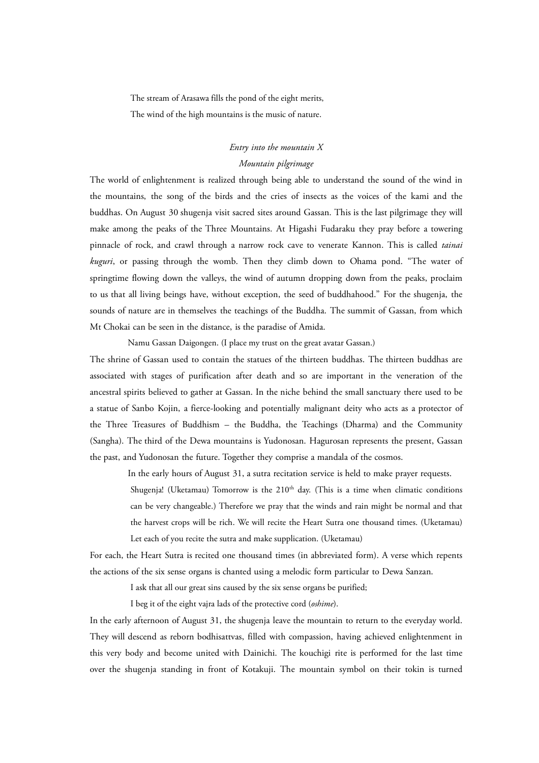The stream of Arasawa fills the pond of the eight merits,

The wind of the high mountains is the music of nature.

# *Entry into the mountain X Mountain pilgrimage*

The world of enlightenment is realized through being able to understand the sound of the wind in the mountains, the song of the birds and the cries of insects as the voices of the kami and the buddhas. On August 30 shugenja visit sacred sites around Gassan. This is the last pilgrimage they will make among the peaks of the Three Mountains. At Higashi Fudaraku they pray before a towering pinnacle of rock, and crawl through a narrow rock cave to venerate Kannon. This is called *tainai kuguri*, or passing through the womb. Then they climb down to Ohama pond. "The water of springtime flowing down the valleys, the wind of autumn dropping down from the peaks, proclaim to us that all living beings have, without exception, the seed of buddhahood." For the shugenja, the sounds of nature are in themselves the teachings of the Buddha. The summit of Gassan, from which Mt Chokai can be seen in the distance, is the paradise of Amida.

Namu Gassan Daigongen. (I place my trust on the great avatar Gassan.)

The shrine of Gassan used to contain the statues of the thirteen buddhas. The thirteen buddhas are associated with stages of purification after death and so are important in the veneration of the ancestral spirits believed to gather at Gassan. In the niche behind the small sanctuary there used to be a statue of Sanbo Kojin, a fierce-looking and potentially malignant deity who acts as a protector of the Three Treasures of Buddhism – the Buddha, the Teachings (Dharma) and the Community (Sangha). The third of the Dewa mountains is Yudonosan. Hagurosan represents the present, Gassan the past, and Yudonosan the future. Together they comprise a mandala of the cosmos.

In the early hours of August 31, a sutra recitation service is held to make prayer requests.

Shugenja! (Uketamau) Tomorrow is the  $210<sup>th</sup>$  day. (This is a time when climatic conditions can be very changeable.) Therefore we pray that the winds and rain might be normal and that the harvest crops will be rich. We will recite the Heart Sutra one thousand times. (Uketamau) Let each of you recite the sutra and make supplication. (Uketamau)

For each, the Heart Sutra is recited one thousand times (in abbreviated form). A verse which repents the actions of the six sense organs is chanted using a melodic form particular to Dewa Sanzan.

I ask that all our great sins caused by the six sense organs be purified;

I beg it of the eight vajra lads of the protective cord (*oshime*).

In the early afternoon of August 31, the shugenja leave the mountain to return to the everyday world. They will descend as reborn bodhisattvas, filled with compassion, having achieved enlightenment in this very body and become united with Dainichi. The kouchigi rite is performed for the last time over the shugenja standing in front of Kotakuji. The mountain symbol on their tokin is turned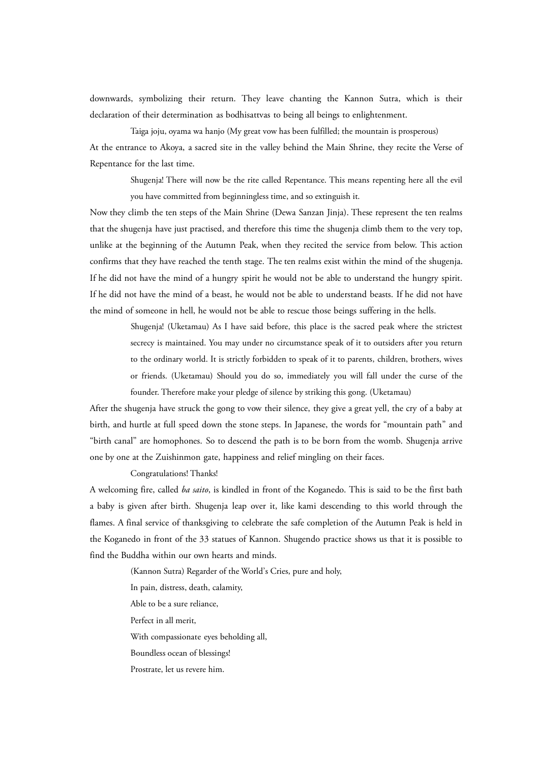downwards, symbolizing their return. They leave chanting the Kannon Sutra, which is their declaration of their determination as bodhisattvas to being all beings to enlightenment.

Taiga joju, oyama wa hanjo (My great vow has been fulfilled; the mountain is prosperous) At the entrance to Akoya, a sacred site in the valley behind the Main Shrine, they recite the Verse of Repentance for the last time.

Shugenja! There will now be the rite called Repentance. This means repenting here all the evil you have committed from beginningless time, and so extinguish it.

Now they climb the ten steps of the Main Shrine (Dewa Sanzan Jinja). These represent the ten realms that the shugenja have just practised, and therefore this time the shugenja climb them to the very top, unlike at the beginning of the Autumn Peak, when they recited the service from below. This action confirms that they have reached the tenth stage. The ten realms exist within the mind of the shugenja. If he did not have the mind of a hungry spirit he would not be able to understand the hungry spirit. If he did not have the mind of a beast, he would not be able to understand beasts. If he did not have the mind of someone in hell, he would not be able to rescue those beings suffering in the hells.

> Shugenja! (Uketamau) As I have said before, this place is the sacred peak where the strictest secrecy is maintained. You may under no circumstance speak of it to outsiders after you return to the ordinary world. It is strictly forbidden to speak of it to parents, children, brothers, wives or friends. (Uketamau) Should you do so, immediately you will fall under the curse of the founder. Therefore make your pledge of silence by striking this gong. (Uketamau)

After the shugenja have struck the gong to vow their silence, they give a great yell, the cry of a baby at birth, and hurtle at full speed down the stone steps. In Japanese, the words for "mountain path" and "birth canal" are homophones. So to descend the path is to be born from the womb. Shugenja arrive one by one at the Zuishinmon gate, happiness and relief mingling on their faces.

# Congratulations! Thanks!

A welcoming fire, called *ba saito*, is kindled in front of the Koganedo. This is said to be the first bath a baby is given after birth. Shugenja leap over it, like kami descending to this world through the flames. A final service of thanksgiving to celebrate the safe completion of the Autumn Peak is held in the Koganedo in front of the 33 statues of Kannon. Shugendo practice shows us that it is possible to find the Buddha within our own hearts and minds.

(Kannon Sutra) Regarder of the World's Cries, pure and holy,

In pain, distress, death, calamity,

Able to be a sure reliance,

Perfect in all merit,

With compassionate eyes beholding all,

Boundless ocean of blessings!

Prostrate, let us revere him.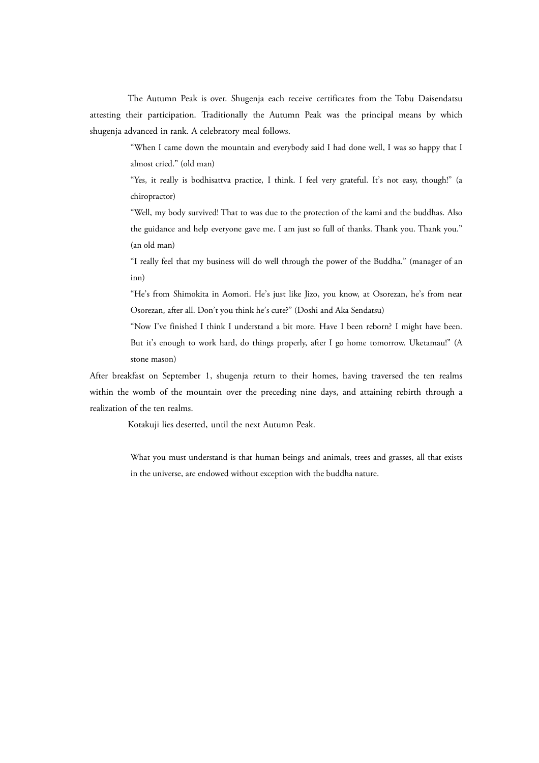The Autumn Peak is over. Shugenja each receive certificates from the Tobu Daisendatsu attesting their participation. Traditionally the Autumn Peak was the principal means by which shugenja advanced in rank. A celebratory meal follows.

> "When I came down the mountain and everybody said I had done well, I was so happy that I almost cried." (old man)

> "Yes, it really is bodhisattva practice, I think. I feel very grateful. It's not easy, though!" (a chiropractor)

> "Well, my body survived! That to was due to the protection of the kami and the buddhas. Also the guidance and help everyone gave me. I am just so full of thanks. Thank you. Thank you." (an old man)

> "I really feel that my business will do well through the power of the Buddha." (manager of an inn)

> "He's from Shimokita in Aomori. He's just like Jizo, you know, at Osorezan, he's from near Osorezan, after all. Don't you think he's cute?" (Doshi and Aka Sendatsu)

> "Now I've finished I think I understand a bit more. Have I been reborn? I might have been. But it's enough to work hard, do things properly, after I go home tomorrow. Uketamau!" (A stone mason)

After breakfast on September 1, shugenja return to their homes, having traversed the ten realms within the womb of the mountain over the preceding nine days, and attaining rebirth through a realization of the ten realms.

Kotakuji lies deserted, until the next Autumn Peak.

What you must understand is that human beings and animals, trees and grasses, all that exists in the universe, are endowed without exception with the buddha nature.